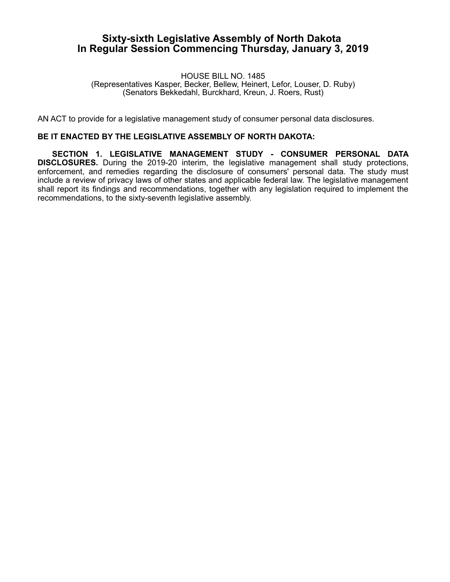## **Sixty-sixth Legislative Assembly of North Dakota In Regular Session Commencing Thursday, January 3, 2019**

HOUSE BILL NO. 1485 (Representatives Kasper, Becker, Bellew, Heinert, Lefor, Louser, D. Ruby) (Senators Bekkedahl, Burckhard, Kreun, J. Roers, Rust)

AN ACT to provide for a legislative management study of consumer personal data disclosures.

## **BE IT ENACTED BY THE LEGISLATIVE ASSEMBLY OF NORTH DAKOTA:**

**SECTION 1. LEGISLATIVE MANAGEMENT STUDY - CONSUMER PERSONAL DATA DISCLOSURES.** During the 2019-20 interim, the legislative management shall study protections, enforcement, and remedies regarding the disclosure of consumers' personal data. The study must include a review of privacy laws of other states and applicable federal law. The legislative management shall report its findings and recommendations, together with any legislation required to implement the recommendations, to the sixty-seventh legislative assembly.